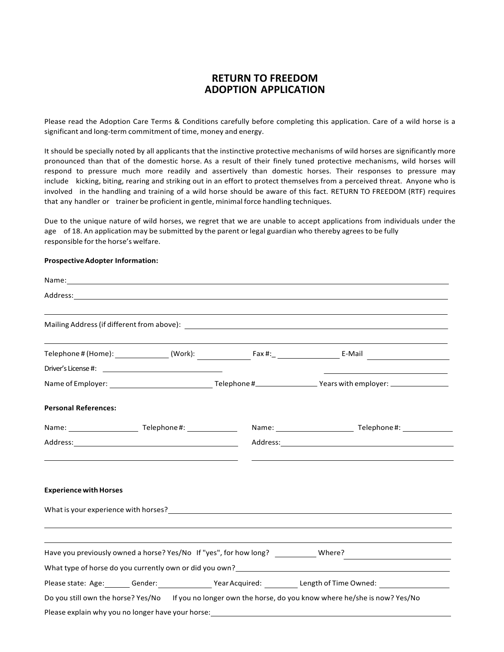# **RETURN TO FREEDOM ADOPTION APPLICATION**

Please read the Adoption Care Terms & Conditions carefully before completing this application. Care of a wild horse is a significant and long-term commitment of time, money and energy.

It should be specially noted by all applicants that the instinctive protective mechanisms of wild horses are significantly more pronounced than that of the domestic horse. As a result of their finely tuned protective mechanisms, wild horses will respond to pressure much more readily and assertively than domestic horses. Their responses to pressure may include kicking, biting, rearing and striking out in an effort to protect themselves from a perceived threat. Anyone who is involved in the handling and training of a wild horse should be aware of this fact. RETURN TO FREEDOM (RTF) requires that any handler or trainer be proficient in gentle, minimal force handling techniques.

Due to the unique nature of wild horses, we regret that we are unable to accept applications from individuals under the age of 18. An application may be submitted by the parent or legal guardian who thereby agrees to be fully responsible forthe horse's welfare.

#### **Prospective Adopter Information:**

| Name: Name: Name: Name: Name: Name: Name: Name: Name: Name: Name: Name: Name: Name: Name: Name: Name: Name: Name: Name: Name: Name: Name: Name: Name: Name: Name: Name: Name: Name: Name: Name: Name: Name: Name: Name: Name: |                                                                         |  |                                                                                                                  |  |  |  |  |
|-------------------------------------------------------------------------------------------------------------------------------------------------------------------------------------------------------------------------------|-------------------------------------------------------------------------|--|------------------------------------------------------------------------------------------------------------------|--|--|--|--|
|                                                                                                                                                                                                                               |                                                                         |  |                                                                                                                  |  |  |  |  |
|                                                                                                                                                                                                                               |                                                                         |  |                                                                                                                  |  |  |  |  |
|                                                                                                                                                                                                                               |                                                                         |  |                                                                                                                  |  |  |  |  |
|                                                                                                                                                                                                                               |                                                                         |  |                                                                                                                  |  |  |  |  |
|                                                                                                                                                                                                                               |                                                                         |  |                                                                                                                  |  |  |  |  |
| <b>Personal References:</b>                                                                                                                                                                                                   |                                                                         |  |                                                                                                                  |  |  |  |  |
|                                                                                                                                                                                                                               |                                                                         |  |                                                                                                                  |  |  |  |  |
| <u> 1989 - Andrea Stadt Britain, amerikansk politik (* 1958)</u>                                                                                                                                                              |                                                                         |  | <u> 1989 - Johann Stoff, amerikansk politiker (* 1908)</u>                                                       |  |  |  |  |
| <b>Experience with Horses</b>                                                                                                                                                                                                 |                                                                         |  |                                                                                                                  |  |  |  |  |
|                                                                                                                                                                                                                               |                                                                         |  |                                                                                                                  |  |  |  |  |
|                                                                                                                                                                                                                               |                                                                         |  |                                                                                                                  |  |  |  |  |
|                                                                                                                                                                                                                               |                                                                         |  | Have you previously owned a horse? Yes/No If "yes", for how long? ___________Where?___________________________   |  |  |  |  |
|                                                                                                                                                                                                                               |                                                                         |  |                                                                                                                  |  |  |  |  |
|                                                                                                                                                                                                                               | Please state: Age: Gender: The Mear Acquired: The Length of Time Owned: |  |                                                                                                                  |  |  |  |  |
|                                                                                                                                                                                                                               |                                                                         |  | Do you still own the horse? Yes/No If you no longer own the horse, do you know where he/she is now? Yes/No       |  |  |  |  |
|                                                                                                                                                                                                                               |                                                                         |  | Please explain why you no longer have your horse: example and a series of the series of the series of the series |  |  |  |  |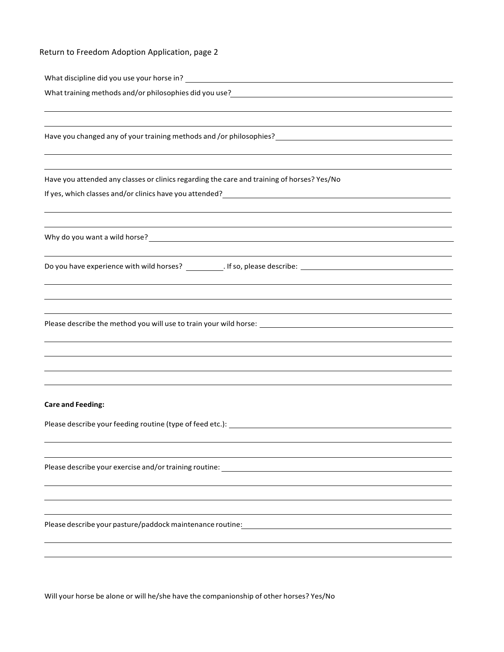## Return to Freedom Adoption Application, page 2

| What discipline did you use your horse in?             |  |
|--------------------------------------------------------|--|
| What training methods and/or philosophies did you use? |  |

Have you changed any of your training methods and /or philosophies?

Have you attended any classes or clinics regarding the care and training of horses? Yes/No

If yes, which classes and/or clinics have you attended?

Why do you want a wild horse?<br>
<u>
Why do you want a wild horse?</u>

Do you have experience with wild horses? \_\_\_\_\_\_\_\_\_\_\_. If so, please describe: \_\_\_\_\_\_\_\_\_\_\_\_\_\_\_\_\_\_\_\_\_\_\_\_\_\_\_\_\_\_\_\_

Please describe the method you will use to train your wild horse: \_\_\_\_\_\_\_\_\_\_\_\_\_\_\_\_\_\_\_\_\_

#### **Care and Feeding:**

Please describe your feeding routine (type of feed etc.):

Please describe your exercise and/or training routine:

Please describe your pasture/paddockmaintenance routine:

Will your horse be alone or will he/she have the companionship of other horses? Yes/No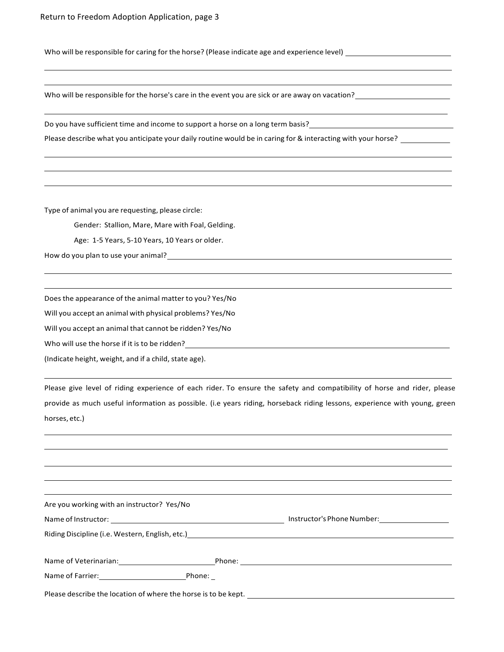Who will be responsible for caring for the horse? (Please indicate age and experience level)

Who will be responsible for the horse's care in the event you are sick or are away on vacation?

Do you have sufficient time and income to support a horse on a long term basis?

Please describe what you anticipate your daily routine would be in caring for & interacting with your horse?

Type of animal you are requesting, please circle:

Gender: Stallion, Mare, Mare with Foal, Gelding.

Age: 1-5 Years, 5-10 Years, 10 Years or older.

How do you plan to use your animal?

Doesthe appearance of the animal matter to you? Yes/No

Will you accept an animal with physical problems? Yes/No

Will you accept an animal that cannot be ridden? Yes/No

Who will use the horse if it is to be ridden?

(Indicate height, weight, and if a child, state age).

Please give level of riding experience of each rider. To ensure the safety and compatibility of horse and rider, please provide as much useful information as possible. (i.e years riding, horseback riding lessons, experience with young, green horses, etc.)

Are you working with an instructor? Yes/No

| Instructor's Phone Number:<br>Name of Instructor: |
|---------------------------------------------------|
|---------------------------------------------------|

Riding Discipline (i.e. Western, English, etc.)

| Name of Veterinarian: | bone' |  |
|-----------------------|-------|--|
|                       |       |  |

| Name of Farrier: | Phone: |
|------------------|--------|
|                  |        |

Please describe the location of where the horse is to be kept.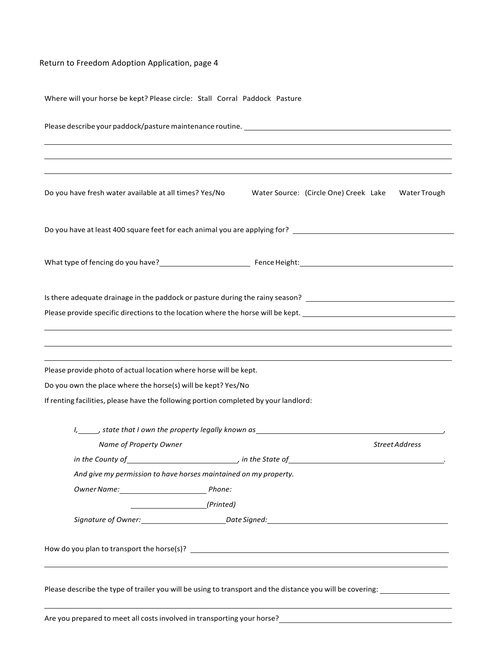### Return to Freedom Adoption Application, page 4

Where will your horse be kept? Please circle: Stall Corral Paddock Pasture Please describe your paddock/pasture maintenance routine. Do you have fresh water available at all times? Yes/No Water Source: (Circle One) Creek Lake Water Trough Do you have at least 400 square feet for each animal you are applying for? [100] The match of the state of the state of the state of the state of the state of the state of the state of the state of the state of the state o What type of fencing do you have? FenceHeight: Is there adequate drainage in the paddock or pasture during the rainy season? Please provide specific directions to the location where the horse will be kept. Please provide photo of actual location where horse will be kept. Do you own the place where the horse(s) will be kept? Yes/No If renting facilities, please have the following portion completed by your landlord: *I, ,* state that *I* own the property legally known as **Name of Property Owner** *Name of Property Owner Street Address in the County of , in the State of . And give my permission to have horses maintained on my property. OwnerName: Phone: (Printed) Signature of Owner: Date Signed:* How do you plan to transport the horse(s)? \_\_\_\_\_ Please describe the type of trailer you will be using to transport and the distance you will be covering: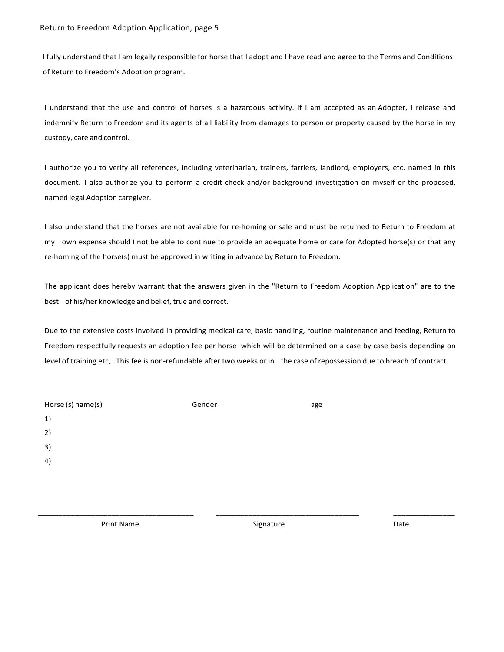I fully understand that I am legally responsible for horse that I adopt and I have read and agree to the Terms and Conditions of Return to Freedom's Adoption program.

I understand that the use and control of horses is a hazardous activity. If I am accepted as an Adopter, I release and indemnify Return to Freedom and its agents of all liability from damages to person or property caused by the horse in my custody, care and control.

I authorize you to verify all references, including veterinarian, trainers, farriers, landlord, employers, etc. named in this document. I also authorize you to perform a credit check and/or background investigation on myself or the proposed, named legal Adoption caregiver.

I also understand that the horses are not available for re-homing or sale and must be returned to Return to Freedom at my own expense should I not be able to continue to provide an adequate home or care for Adopted horse(s) or that any re-homing of the horse(s) must be approved in writing in advance by Return to Freedom.

The applicant does hereby warrant that the answers given in the "Return to Freedom Adoption Application" are to the best of his/her knowledge and belief, true and correct.

Due to the extensive costs involved in providing medical care, basic handling, routine maintenance and feeding, Return to Freedom respectfully requests an adoption fee per horse which will be determined on a case by case basis depending on level of training etc,. This fee is non-refundable after two weeks or in the case of repossession due to breach of contract.

| Horse (s) name(s) | Gender | age |
|-------------------|--------|-----|
| 1)                |        |     |
| 2)                |        |     |
| 3)                |        |     |
| 4)                |        |     |
|                   |        |     |
|                   |        |     |

**Print Name Date 2018 CONSISTENT CONSISTENT CONSISTENT CONSISTENT CONSISTENT CONSISTENT CONSISTENT CONSISTENT** 

\_\_\_\_\_\_\_\_\_\_\_\_\_\_\_\_\_\_\_\_\_\_\_\_\_\_\_\_\_\_\_\_\_\_\_\_\_\_ \_\_\_\_\_\_\_\_\_\_\_\_\_\_\_\_\_\_\_\_\_\_\_\_\_\_\_\_\_\_\_\_\_\_\_ \_\_\_\_\_\_\_\_\_\_\_\_\_\_\_